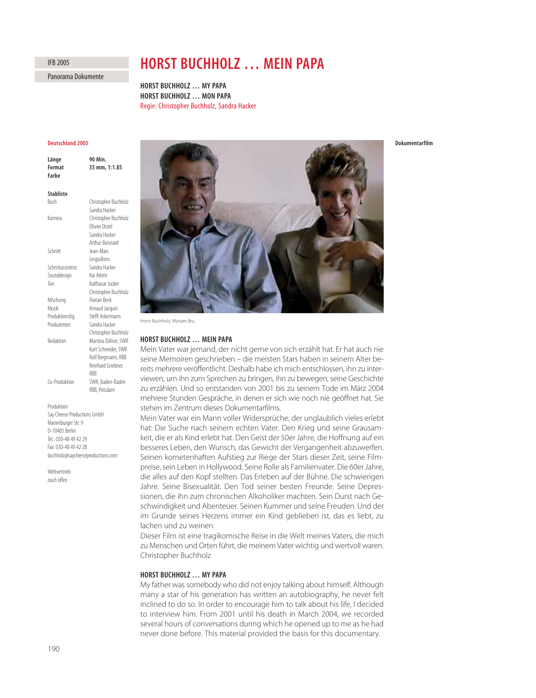# IFB 2005

Panorama Dokumente

# **HORST BUCHHOLZ … MEIN PAPA**

**HORST BUCHHOLZ … MY PAPA HORST BUCHHOLZ … MON PAPA** Regie: Christopher Buchholz, Sandra Hacker

# **Deutschland 2005**

| Länge<br>Format<br>Farbe | 90 Min.<br>35 mm, 1:1.85 |
|--------------------------|--------------------------|
| <b>Stabliste</b>         |                          |
| Buch                     | Christopher Buchholz     |
|                          | Sandra Hacker            |
| Kamera                   | Christopher Buchholz     |
|                          | Olivier Distel           |
|                          | Sandra Hacker            |
|                          | <b>Arthur Boisnard</b>   |
| Schnitt                  | lean-Marc                |
|                          | Lesquillons              |
| Schnittassistenz         | Sandra Hacker            |
| Sounddesign              | Kaj Atteln               |
| Ton                      | Balthasar Jucker         |
|                          | Christopher Buchholz     |
| Mischung                 | <b>Florian Beck</b>      |
| Musik                    | Arnaud Jacquin           |
| Produktionsltg.          | Steffi Ackermann         |
| Produzenten              | Sandra Hacker            |
|                          | Christopher Buchholz     |
| Redaktion                | Martina Zöllner, SWR     |
|                          | Kurt Schneider, SWR      |
|                          | Rolf Bergmann, RBB       |
|                          | Reinhard Griebner,       |
|                          | <b>RBB</b>               |
| Co-Produktion            | SWR, Baden-Baden         |
|                          | RBB, Potsdam             |
| Produktion               |                          |

Say Cheese Productions GmbH Marienburger Str. 9 D-10405 Berlin Tel.: 030-48 49 42 29 Fax: 030-48 49 42 28 buchholz@saycheeseproductions.com

**Weltvertrieh** noch offen



## **HORST BUCHHOLZ … MEIN PAPA**

Mein Vater war jemand, der nicht gerne von sich erzählt hat. Er hat auch nie seine Memoiren geschrieben – die meisten Stars haben in seinem Alter bereits mehrere veröffentlicht. Deshalb habe ich mich entschlossen, ihn zu interviewen, um ihn zum Sprechen zu bringen, ihn zu bewegen, seine Geschichte zu erzählen. Und so entstanden von 2001 bis zu seinem Tode im März 2004 mehrere Stunden Gespräche, in denen er sich wie noch nie geöffnet hat. Sie stehen im Zentrum dieses Dokumentarfilms.

Mein Vater war ein Mann voller Widersprüche, der unglaublich vieles erlebt hat: Die Suche nach seinem echten Vater. Den Krieg und seine Grausamkeit, die er als Kind erlebt hat. Den Geist der 50er Jahre, die Hoffnung auf ein besseres Leben, den Wunsch, das Gewicht der Vergangenheit abzuwerfen. Seinen kometenhaften Aufstieg zur Riege der Stars dieser Zeit, seine Filmpreise, sein Leben in Hollywood. Seine Rolle als Familienvater. Die 60er Jahre, die alles auf den Kopf stellten. Das Erleben auf der Bühne. Die schwierigen Jahre. Seine Bisexualität. Den Tod seiner besten Freunde. Seine Depressionen, die ihn zum chronischen Alkoholiker machten. Sein Durst nach Geschwindigkeit und Abenteuer. Seinen Kummer und seine Freuden. Und der im Grunde seines Herzens immer ein Kind geblieben ist, das es liebt, zu lachen und zu weinen.

Dieser Film ist eine tragikomische Reise in die Welt meines Vaters, die mich zu Menschen und Orten führt, die meinem Vater wichtig und wertvoll waren. Christopher Buchholz

#### **HORST BUCHHOLZ … MY PAPA**

My father was somebody who did not enjoy talking about himself. Although many a star of his generation has written an autobiography, he never felt inclined to do so. In order to encourage him to talk about his life, I decided to interview him. From 2001 until his death in March 2004, we recorded several hours of conversations during which he opened up to me as he had never done before. This material provided the basis for this documentary.

# **Dokumentarfilm**